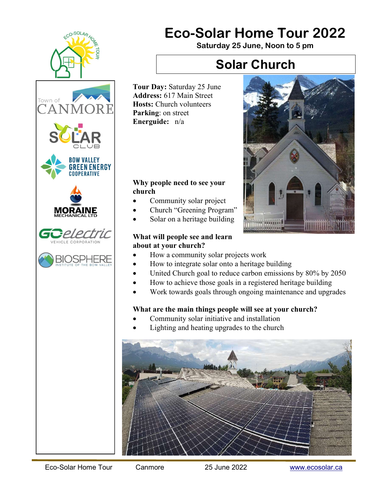

# Eco-Solar Home Tour 2022

Saturday 25 June, Noon to 5 pm

## Solar Church

Tour Day: Saturday 25 June Address: 617 Main Street Hosts: Church volunteers Parking: on street Energuide: n/a

### Why people need to see your church

- Community solar project
- Church "Greening Program"
- Solar on a heritage building

### What will people see and learn about at your church?

- How a community solar projects work
- How to integrate solar onto a heritage building
- United Church goal to reduce carbon emissions by 80% by 2050

*SOVITORE* 

- How to achieve those goals in a registered heritage building
- Work towards goals through ongoing maintenance and upgrades

## What are the main things people will see at your church?

- Community solar initiative and installation
- Lighting and heating upgrades to the church